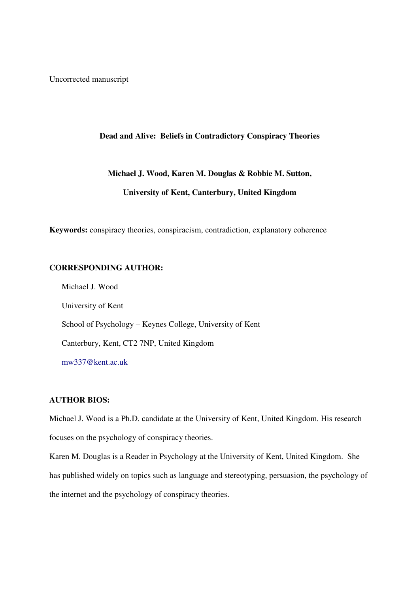Uncorrected manuscript

# **Dead and Alive: Beliefs in Contradictory Conspiracy Theories**

# **Michael J. Wood, Karen M. Douglas & Robbie M. Sutton, University of Kent, Canterbury, United Kingdom**

**Keywords:** conspiracy theories, conspiracism, contradiction, explanatory coherence

# **CORRESPONDING AUTHOR:**

Michael J. Wood University of Kent School of Psychology – Keynes College, University of Kent Canterbury, Kent, CT2 7NP, United Kingdom mw337@kent.ac.uk

# **AUTHOR BIOS:**

Michael J. Wood is a Ph.D. candidate at the University of Kent, United Kingdom. His research focuses on the psychology of conspiracy theories.

Karen M. Douglas is a Reader in Psychology at the University of Kent, United Kingdom. She has published widely on topics such as language and stereotyping, persuasion, the psychology of the internet and the psychology of conspiracy theories.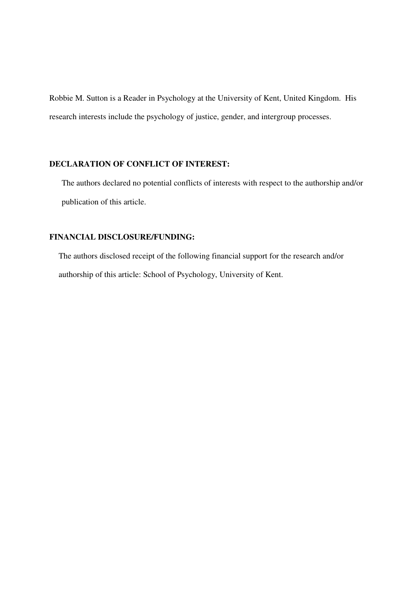Robbie M. Sutton is a Reader in Psychology at the University of Kent, United Kingdom. His research interests include the psychology of justice, gender, and intergroup processes.

## **DECLARATION OF CONFLICT OF INTEREST:**

The authors declared no potential conflicts of interests with respect to the authorship and/or publication of this article.

# **FINANCIAL DISCLOSURE/FUNDING:**

The authors disclosed receipt of the following financial support for the research and/or authorship of this article: School of Psychology, University of Kent.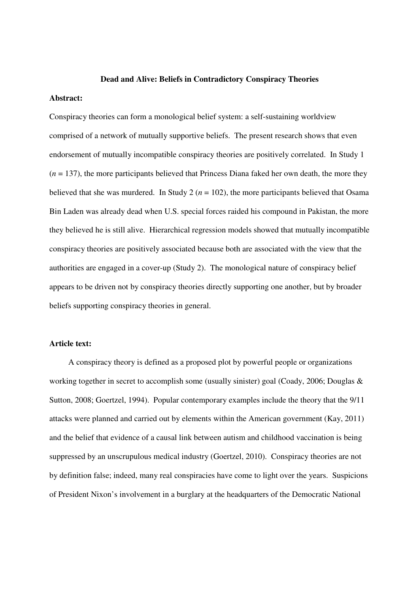#### **Dead and Alive: Beliefs in Contradictory Conspiracy Theories**

## **Abstract:**

Conspiracy theories can form a monological belief system: a self-sustaining worldview comprised of a network of mutually supportive beliefs. The present research shows that even endorsement of mutually incompatible conspiracy theories are positively correlated. In Study 1  $(n = 137)$ , the more participants believed that Princess Diana faked her own death, the more they believed that she was murdered. In Study 2 ( $n = 102$ ), the more participants believed that Osama Bin Laden was already dead when U.S. special forces raided his compound in Pakistan, the more they believed he is still alive. Hierarchical regression models showed that mutually incompatible conspiracy theories are positively associated because both are associated with the view that the authorities are engaged in a cover-up (Study 2). The monological nature of conspiracy belief appears to be driven not by conspiracy theories directly supporting one another, but by broader beliefs supporting conspiracy theories in general.

## **Article text:**

A conspiracy theory is defined as a proposed plot by powerful people or organizations working together in secret to accomplish some (usually sinister) goal (Coady, 2006; Douglas & Sutton, 2008; Goertzel, 1994). Popular contemporary examples include the theory that the 9/11 attacks were planned and carried out by elements within the American government (Kay, 2011) and the belief that evidence of a causal link between autism and childhood vaccination is being suppressed by an unscrupulous medical industry (Goertzel, 2010). Conspiracy theories are not by definition false; indeed, many real conspiracies have come to light over the years. Suspicions of President Nixon's involvement in a burglary at the headquarters of the Democratic National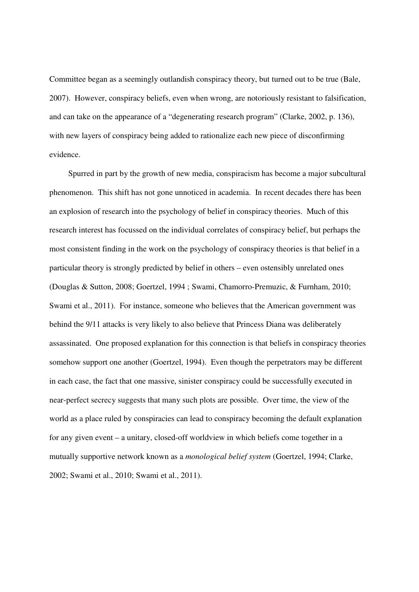Committee began as a seemingly outlandish conspiracy theory, but turned out to be true (Bale, 2007). However, conspiracy beliefs, even when wrong, are notoriously resistant to falsification, and can take on the appearance of a "degenerating research program" (Clarke, 2002, p. 136), with new layers of conspiracy being added to rationalize each new piece of disconfirming evidence.

Spurred in part by the growth of new media, conspiracism has become a major subcultural phenomenon. This shift has not gone unnoticed in academia. In recent decades there has been an explosion of research into the psychology of belief in conspiracy theories. Much of this research interest has focussed on the individual correlates of conspiracy belief, but perhaps the most consistent finding in the work on the psychology of conspiracy theories is that belief in a particular theory is strongly predicted by belief in others – even ostensibly unrelated ones (Douglas & Sutton, 2008; Goertzel, 1994 ; Swami, Chamorro-Premuzic, & Furnham, 2010; Swami et al., 2011). For instance, someone who believes that the American government was behind the 9/11 attacks is very likely to also believe that Princess Diana was deliberately assassinated. One proposed explanation for this connection is that beliefs in conspiracy theories somehow support one another (Goertzel, 1994). Even though the perpetrators may be different in each case, the fact that one massive, sinister conspiracy could be successfully executed in near-perfect secrecy suggests that many such plots are possible. Over time, the view of the world as a place ruled by conspiracies can lead to conspiracy becoming the default explanation for any given event – a unitary, closed-off worldview in which beliefs come together in a mutually supportive network known as a *monological belief system* (Goertzel, 1994; Clarke, 2002; Swami et al., 2010; Swami et al., 2011).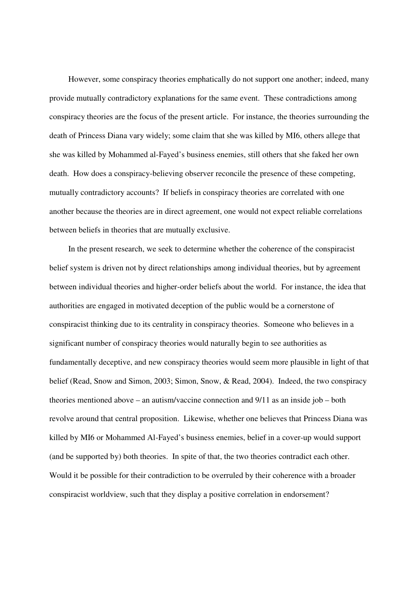However, some conspiracy theories emphatically do not support one another; indeed, many provide mutually contradictory explanations for the same event. These contradictions among conspiracy theories are the focus of the present article. For instance, the theories surrounding the death of Princess Diana vary widely; some claim that she was killed by MI6, others allege that she was killed by Mohammed al-Fayed's business enemies, still others that she faked her own death. How does a conspiracy-believing observer reconcile the presence of these competing, mutually contradictory accounts? If beliefs in conspiracy theories are correlated with one another because the theories are in direct agreement, one would not expect reliable correlations between beliefs in theories that are mutually exclusive.

In the present research, we seek to determine whether the coherence of the conspiracist belief system is driven not by direct relationships among individual theories, but by agreement between individual theories and higher-order beliefs about the world. For instance, the idea that authorities are engaged in motivated deception of the public would be a cornerstone of conspiracist thinking due to its centrality in conspiracy theories. Someone who believes in a significant number of conspiracy theories would naturally begin to see authorities as fundamentally deceptive, and new conspiracy theories would seem more plausible in light of that belief (Read, Snow and Simon, 2003; Simon, Snow, & Read, 2004). Indeed, the two conspiracy theories mentioned above – an autism/vaccine connection and 9/11 as an inside job – both revolve around that central proposition. Likewise, whether one believes that Princess Diana was killed by MI6 or Mohammed Al-Fayed's business enemies, belief in a cover-up would support (and be supported by) both theories. In spite of that, the two theories contradict each other. Would it be possible for their contradiction to be overruled by their coherence with a broader conspiracist worldview, such that they display a positive correlation in endorsement?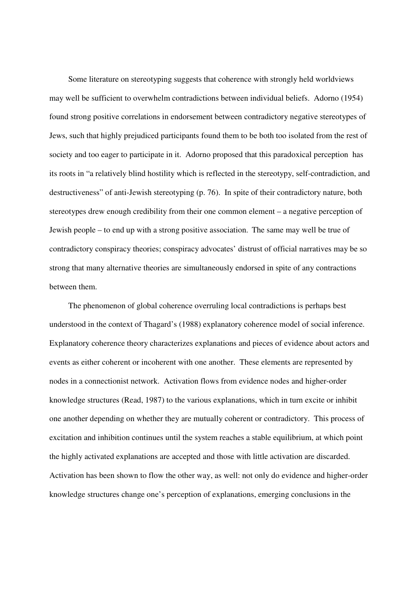Some literature on stereotyping suggests that coherence with strongly held worldviews may well be sufficient to overwhelm contradictions between individual beliefs. Adorno (1954) found strong positive correlations in endorsement between contradictory negative stereotypes of Jews, such that highly prejudiced participants found them to be both too isolated from the rest of society and too eager to participate in it. Adorno proposed that this paradoxical perception has its roots in "a relatively blind hostility which is reflected in the stereotypy, self-contradiction, and destructiveness" of anti-Jewish stereotyping (p. 76). In spite of their contradictory nature, both stereotypes drew enough credibility from their one common element – a negative perception of Jewish people – to end up with a strong positive association. The same may well be true of contradictory conspiracy theories; conspiracy advocates' distrust of official narratives may be so strong that many alternative theories are simultaneously endorsed in spite of any contractions between them.

The phenomenon of global coherence overruling local contradictions is perhaps best understood in the context of Thagard's (1988) explanatory coherence model of social inference. Explanatory coherence theory characterizes explanations and pieces of evidence about actors and events as either coherent or incoherent with one another. These elements are represented by nodes in a connectionist network. Activation flows from evidence nodes and higher-order knowledge structures (Read, 1987) to the various explanations, which in turn excite or inhibit one another depending on whether they are mutually coherent or contradictory. This process of excitation and inhibition continues until the system reaches a stable equilibrium, at which point the highly activated explanations are accepted and those with little activation are discarded. Activation has been shown to flow the other way, as well: not only do evidence and higher-order knowledge structures change one's perception of explanations, emerging conclusions in the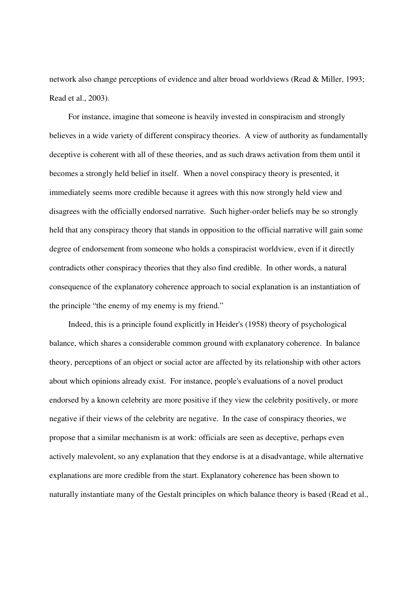network also change perceptions of evidence and alter broad worldviews (Read & Miller, 1993; Read et al., 2003).

For instance, imagine that someone is heavily invested in conspiracism and strongly believes in a wide variety of different conspiracy theories. A view of authority as fundamentally deceptive is coherent with all of these theories, and as such draws activation from them until it becomes a strongly held belief in itself. When a novel conspiracy theory is presented, it immediately seems more credible because it agrees with this now strongly held view and disagrees with the officially endorsed narrative. Such higher-order beliefs may be so strongly held that any conspiracy theory that stands in opposition to the official narrative will gain some degree of endorsement from someone who holds a conspiracist worldview, even if it directly contradicts other conspiracy theories that they also find credible. In other words, a natural consequence of the explanatory coherence approach to social explanation is an instantiation of the principle "the enemy of my enemy is my friend."

Indeed, this is a principle found explicitly in Heider's (1958) theory of psychological balance, which shares a considerable common ground with explanatory coherence. In balance theory, perceptions of an object or social actor are affected by its relationship with other actors about which opinions already exist. For instance, people's evaluations of a novel product endorsed by a known celebrity are more positive if they view the celebrity positively, or more negative if their views of the celebrity are negative. In the case of conspiracy theories, we propose that a similar mechanism is at work: officials are seen as deceptive, perhaps even actively malevolent, so any explanation that they endorse is at a disadvantage, while alternative explanations are more credible from the start. Explanatory coherence has been shown to naturally instantiate many of the Gestalt principles on which balance theory is based (Read et al.,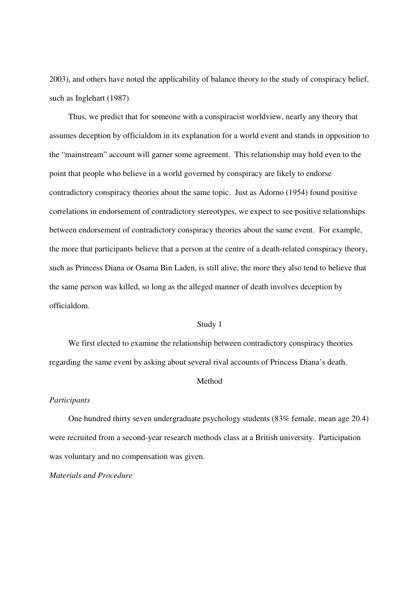2003), and others have noted the applicability of balance theory to the study of conspiracy belief, such as Inglehart (1987).

Thus, we predict that for someone with a conspiracist worldview, nearly any theory that assumes deception by officialdom in its explanation for a world event and stands in opposition to the "mainstream" account will garner some agreement. This relationship may hold even to the point that people who believe in a world governed by conspiracy are likely to endorse contradictory conspiracy theories about the same topic. Just as Adorno (1954) found positive correlations in endorsement of contradictory stereotypes, we expect to see positive relationships between endorsement of contradictory conspiracy theories about the same event. For example, the more that participants believe that a person at the centre of a death-related conspiracy theory, such as Princess Diana or Osama Bin Laden, is still alive, the more they also tend to believe that the same person was killed, so long as the alleged manner of death involves deception by officialdom.

## Study 1

We first elected to examine the relationship between contradictory conspiracy theories regarding the same event by asking about several rival accounts of Princess Diana's death.

#### Method

#### *Participants*

One hundred thirty seven undergraduate psychology students (83% female, mean age 20.4) were recruited from a second-year research methods class at a British university. Participation was voluntary and no compensation was given.

## *Materials and Procedure*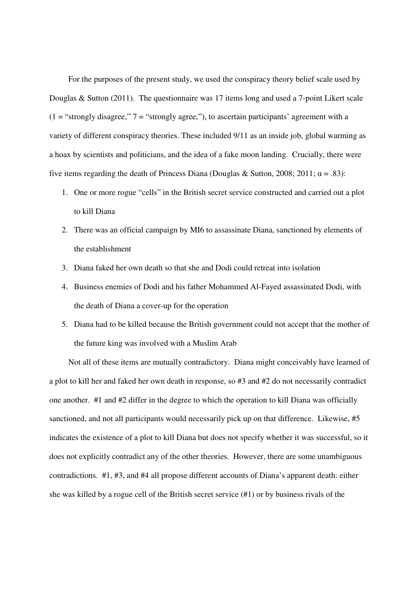For the purposes of the present study, we used the conspiracy theory belief scale used by Douglas & Sutton (2011). The questionnaire was 17 items long and used a 7-point Likert scale  $(1 = "strongly disagree," 7 = "strongly agree,")$ , to ascertain participants' agreement with a variety of different conspiracy theories. These included 9/11 as an inside job, global warming as a hoax by scientists and politicians, and the idea of a fake moon landing. Crucially, there were five items regarding the death of Princess Diana (Douglas & Sutton, 2008; 2011;  $\alpha = .83$ ):

- 1. One or more rogue "cells" in the British secret service constructed and carried out a plot to kill Diana
- 2. There was an official campaign by MI6 to assassinate Diana, sanctioned by elements of the establishment
- 3. Diana faked her own death so that she and Dodi could retreat into isolation
- 4. Business enemies of Dodi and his father Mohammed Al-Fayed assassinated Dodi, with the death of Diana a cover-up for the operation
- 5. Diana had to be killed because the British government could not accept that the mother of the future king was involved with a Muslim Arab

Not all of these items are mutually contradictory. Diana might conceivably have learned of a plot to kill her and faked her own death in response, so #3 and #2 do not necessarily contradict one another. #1 and #2 differ in the degree to which the operation to kill Diana was officially sanctioned, and not all participants would necessarily pick up on that difference. Likewise, #5 indicates the existence of a plot to kill Diana but does not specify whether it was successful, so it does not explicitly contradict any of the other theories. However, there are some unambiguous contradictions. #1, #3, and #4 all propose different accounts of Diana's apparent death: either she was killed by a rogue cell of the British secret service (#1) or by business rivals of the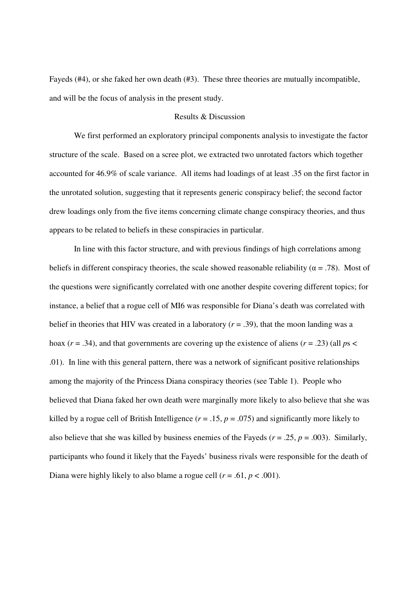Fayeds (#4), or she faked her own death (#3). These three theories are mutually incompatible, and will be the focus of analysis in the present study.

## Results & Discussion

 We first performed an exploratory principal components analysis to investigate the factor structure of the scale. Based on a scree plot, we extracted two unrotated factors which together accounted for 46.9% of scale variance. All items had loadings of at least .35 on the first factor in the unrotated solution, suggesting that it represents generic conspiracy belief; the second factor drew loadings only from the five items concerning climate change conspiracy theories, and thus appears to be related to beliefs in these conspiracies in particular.

 In line with this factor structure, and with previous findings of high correlations among beliefs in different conspiracy theories, the scale showed reasonable reliability ( $\alpha = .78$ ). Most of the questions were significantly correlated with one another despite covering different topics; for instance, a belief that a rogue cell of MI6 was responsible for Diana's death was correlated with belief in theories that HIV was created in a laboratory  $(r = .39)$ , that the moon landing was a hoax ( $r = .34$ ), and that governments are covering up the existence of aliens ( $r = .23$ ) (all  $ps <$ .01). In line with this general pattern, there was a network of significant positive relationships among the majority of the Princess Diana conspiracy theories (see Table 1). People who believed that Diana faked her own death were marginally more likely to also believe that she was killed by a rogue cell of British Intelligence  $(r = .15, p = .075)$  and significantly more likely to also believe that she was killed by business enemies of the Fayeds ( $r = .25$ ,  $p = .003$ ). Similarly, participants who found it likely that the Fayeds' business rivals were responsible for the death of Diana were highly likely to also blame a rogue cell  $(r = .61, p < .001)$ .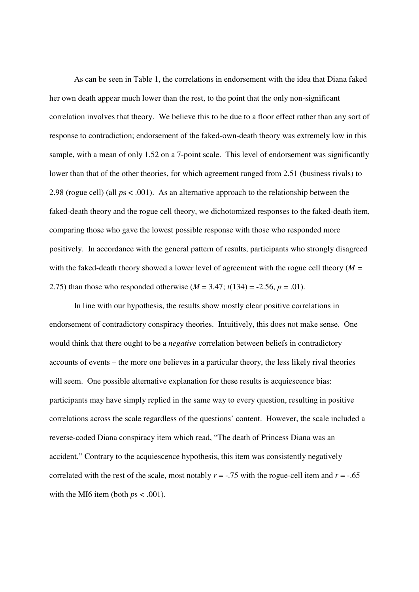As can be seen in Table 1, the correlations in endorsement with the idea that Diana faked her own death appear much lower than the rest, to the point that the only non-significant correlation involves that theory. We believe this to be due to a floor effect rather than any sort of response to contradiction; endorsement of the faked-own-death theory was extremely low in this sample, with a mean of only 1.52 on a 7-point scale. This level of endorsement was significantly lower than that of the other theories, for which agreement ranged from 2.51 (business rivals) to 2.98 (rogue cell) (all *p*s < .001). As an alternative approach to the relationship between the faked-death theory and the rogue cell theory, we dichotomized responses to the faked-death item, comparing those who gave the lowest possible response with those who responded more positively. In accordance with the general pattern of results, participants who strongly disagreed with the faked-death theory showed a lower level of agreement with the rogue cell theory (*M =*  2.75) than those who responded otherwise  $(M = 3.47; t(134) = -2.56, p = .01)$ .

 In line with our hypothesis, the results show mostly clear positive correlations in endorsement of contradictory conspiracy theories. Intuitively, this does not make sense. One would think that there ought to be a *negative* correlation between beliefs in contradictory accounts of events – the more one believes in a particular theory, the less likely rival theories will seem. One possible alternative explanation for these results is acquiescence bias: participants may have simply replied in the same way to every question, resulting in positive correlations across the scale regardless of the questions' content. However, the scale included a reverse-coded Diana conspiracy item which read, "The death of Princess Diana was an accident." Contrary to the acquiescence hypothesis, this item was consistently negatively correlated with the rest of the scale, most notably  $r = -0.75$  with the rogue-cell item and  $r = -0.65$ with the MI6 item (both  $ps < .001$ ).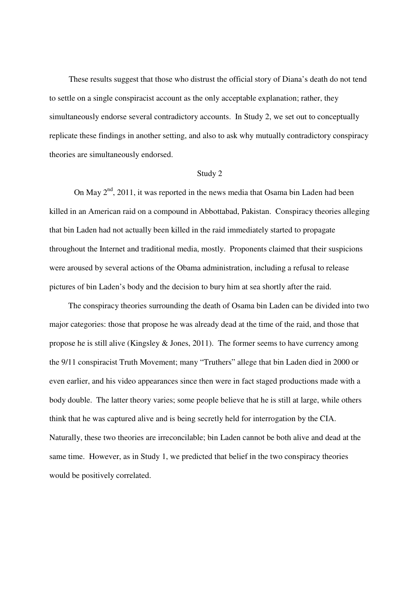These results suggest that those who distrust the official story of Diana's death do not tend to settle on a single conspiracist account as the only acceptable explanation; rather, they simultaneously endorse several contradictory accounts. In Study 2, we set out to conceptually replicate these findings in another setting, and also to ask why mutually contradictory conspiracy theories are simultaneously endorsed.

#### Study 2

On May  $2<sup>nd</sup>$ , 2011, it was reported in the news media that Osama bin Laden had been killed in an American raid on a compound in Abbottabad, Pakistan. Conspiracy theories alleging that bin Laden had not actually been killed in the raid immediately started to propagate throughout the Internet and traditional media, mostly. Proponents claimed that their suspicions were aroused by several actions of the Obama administration, including a refusal to release pictures of bin Laden's body and the decision to bury him at sea shortly after the raid.

The conspiracy theories surrounding the death of Osama bin Laden can be divided into two major categories: those that propose he was already dead at the time of the raid, and those that propose he is still alive (Kingsley & Jones, 2011). The former seems to have currency among the 9/11 conspiracist Truth Movement; many "Truthers" allege that bin Laden died in 2000 or even earlier, and his video appearances since then were in fact staged productions made with a body double. The latter theory varies; some people believe that he is still at large, while others think that he was captured alive and is being secretly held for interrogation by the CIA. Naturally, these two theories are irreconcilable; bin Laden cannot be both alive and dead at the same time. However, as in Study 1, we predicted that belief in the two conspiracy theories would be positively correlated.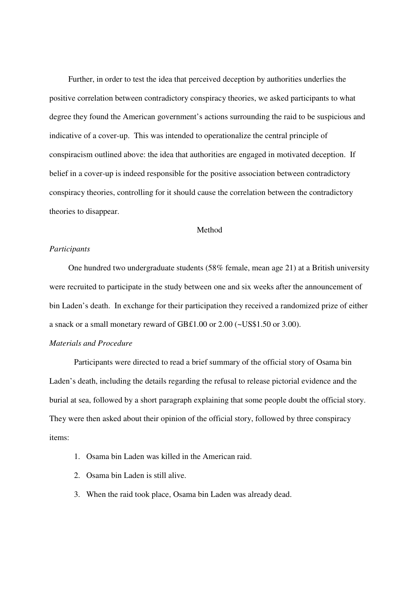Further, in order to test the idea that perceived deception by authorities underlies the positive correlation between contradictory conspiracy theories, we asked participants to what degree they found the American government's actions surrounding the raid to be suspicious and indicative of a cover-up. This was intended to operationalize the central principle of conspiracism outlined above: the idea that authorities are engaged in motivated deception. If belief in a cover-up is indeed responsible for the positive association between contradictory conspiracy theories, controlling for it should cause the correlation between the contradictory theories to disappear.

#### Method

#### *Participants*

One hundred two undergraduate students (58% female, mean age 21) at a British university were recruited to participate in the study between one and six weeks after the announcement of bin Laden's death. In exchange for their participation they received a randomized prize of either a snack or a small monetary reward of GB£1.00 or 2.00 (~US\$1.50 or 3.00).

# *Materials and Procedure*

 Participants were directed to read a brief summary of the official story of Osama bin Laden's death, including the details regarding the refusal to release pictorial evidence and the burial at sea, followed by a short paragraph explaining that some people doubt the official story. They were then asked about their opinion of the official story, followed by three conspiracy items:

- 1. Osama bin Laden was killed in the American raid.
- 2. Osama bin Laden is still alive.
- 3. When the raid took place, Osama bin Laden was already dead.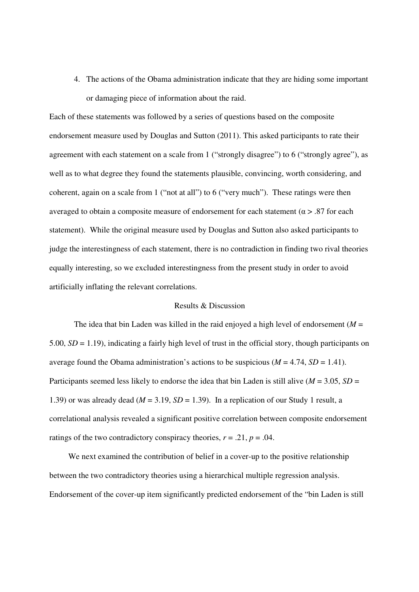4. The actions of the Obama administration indicate that they are hiding some important or damaging piece of information about the raid.

Each of these statements was followed by a series of questions based on the composite endorsement measure used by Douglas and Sutton (2011). This asked participants to rate their agreement with each statement on a scale from 1 ("strongly disagree") to 6 ("strongly agree"), as well as to what degree they found the statements plausible, convincing, worth considering, and coherent, again on a scale from 1 ("not at all") to 6 ("very much"). These ratings were then averaged to obtain a composite measure of endorsement for each statement ( $\alpha$  > .87 for each statement). While the original measure used by Douglas and Sutton also asked participants to judge the interestingness of each statement, there is no contradiction in finding two rival theories equally interesting, so we excluded interestingness from the present study in order to avoid artificially inflating the relevant correlations.

## Results & Discussion

The idea that bin Laden was killed in the raid enjoyed a high level of endorsement  $(M =$ 5.00, *SD* = 1.19), indicating a fairly high level of trust in the official story, though participants on average found the Obama administration's actions to be suspicious  $(M = 4.74, SD = 1.41)$ . Participants seemed less likely to endorse the idea that bin Laden is still alive ( $M = 3.05$ ,  $SD =$ 1.39) or was already dead ( $M = 3.19$ ,  $SD = 1.39$ ). In a replication of our Study 1 result, a correlational analysis revealed a significant positive correlation between composite endorsement ratings of the two contradictory conspiracy theories,  $r = .21$ ,  $p = .04$ .

We next examined the contribution of belief in a cover-up to the positive relationship between the two contradictory theories using a hierarchical multiple regression analysis. Endorsement of the cover-up item significantly predicted endorsement of the "bin Laden is still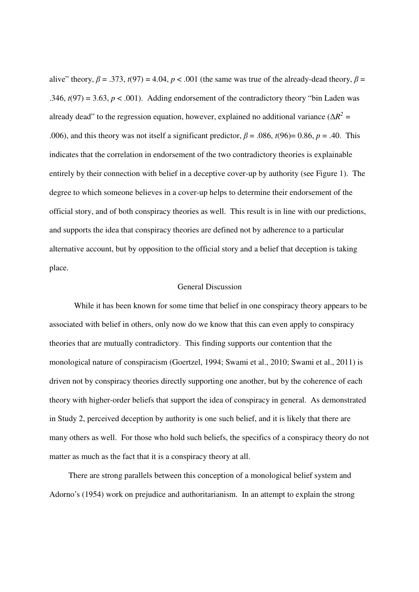alive" theory,  $\beta = .373$ ,  $t(97) = 4.04$ ,  $p < .001$  (the same was true of the already-dead theory,  $\beta =$ .346,  $t(97) = 3.63$ ,  $p < .001$ ). Adding endorsement of the contradictory theory "bin Laden was already dead" to the regression equation, however, explained no additional variance ( $\Delta R^2$  = .006), and this theory was not itself a significant predictor,  $\beta$  = .086,  $t(96)$ = 0.86,  $p$  = .40. This indicates that the correlation in endorsement of the two contradictory theories is explainable entirely by their connection with belief in a deceptive cover-up by authority (see Figure 1). The degree to which someone believes in a cover-up helps to determine their endorsement of the official story, and of both conspiracy theories as well. This result is in line with our predictions, and supports the idea that conspiracy theories are defined not by adherence to a particular alternative account, but by opposition to the official story and a belief that deception is taking place.

#### General Discussion

 While it has been known for some time that belief in one conspiracy theory appears to be associated with belief in others, only now do we know that this can even apply to conspiracy theories that are mutually contradictory. This finding supports our contention that the monological nature of conspiracism (Goertzel, 1994; Swami et al., 2010; Swami et al., 2011) is driven not by conspiracy theories directly supporting one another, but by the coherence of each theory with higher-order beliefs that support the idea of conspiracy in general. As demonstrated in Study 2, perceived deception by authority is one such belief, and it is likely that there are many others as well. For those who hold such beliefs, the specifics of a conspiracy theory do not matter as much as the fact that it is a conspiracy theory at all.

There are strong parallels between this conception of a monological belief system and Adorno's (1954) work on prejudice and authoritarianism. In an attempt to explain the strong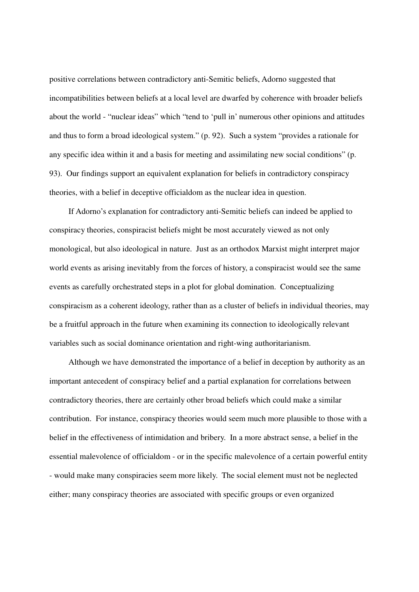positive correlations between contradictory anti-Semitic beliefs, Adorno suggested that incompatibilities between beliefs at a local level are dwarfed by coherence with broader beliefs about the world - "nuclear ideas" which "tend to 'pull in' numerous other opinions and attitudes and thus to form a broad ideological system." (p. 92). Such a system "provides a rationale for any specific idea within it and a basis for meeting and assimilating new social conditions" (p. 93). Our findings support an equivalent explanation for beliefs in contradictory conspiracy theories, with a belief in deceptive officialdom as the nuclear idea in question.

If Adorno's explanation for contradictory anti-Semitic beliefs can indeed be applied to conspiracy theories, conspiracist beliefs might be most accurately viewed as not only monological, but also ideological in nature. Just as an orthodox Marxist might interpret major world events as arising inevitably from the forces of history, a conspiracist would see the same events as carefully orchestrated steps in a plot for global domination. Conceptualizing conspiracism as a coherent ideology, rather than as a cluster of beliefs in individual theories, may be a fruitful approach in the future when examining its connection to ideologically relevant variables such as social dominance orientation and right-wing authoritarianism.

Although we have demonstrated the importance of a belief in deception by authority as an important antecedent of conspiracy belief and a partial explanation for correlations between contradictory theories, there are certainly other broad beliefs which could make a similar contribution. For instance, conspiracy theories would seem much more plausible to those with a belief in the effectiveness of intimidation and bribery. In a more abstract sense, a belief in the essential malevolence of officialdom - or in the specific malevolence of a certain powerful entity - would make many conspiracies seem more likely. The social element must not be neglected either; many conspiracy theories are associated with specific groups or even organized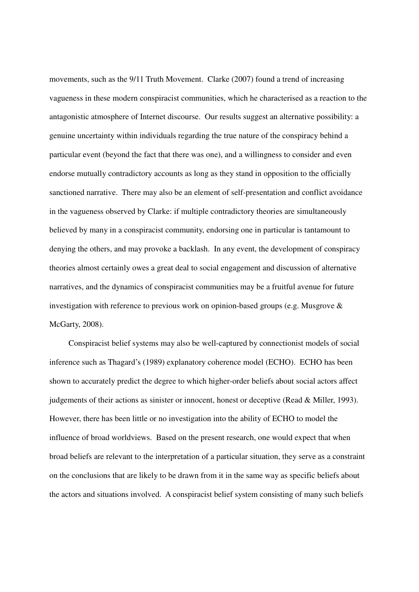movements, such as the 9/11 Truth Movement. Clarke (2007) found a trend of increasing vagueness in these modern conspiracist communities, which he characterised as a reaction to the antagonistic atmosphere of Internet discourse. Our results suggest an alternative possibility: a genuine uncertainty within individuals regarding the true nature of the conspiracy behind a particular event (beyond the fact that there was one), and a willingness to consider and even endorse mutually contradictory accounts as long as they stand in opposition to the officially sanctioned narrative. There may also be an element of self-presentation and conflict avoidance in the vagueness observed by Clarke: if multiple contradictory theories are simultaneously believed by many in a conspiracist community, endorsing one in particular is tantamount to denying the others, and may provoke a backlash. In any event, the development of conspiracy theories almost certainly owes a great deal to social engagement and discussion of alternative narratives, and the dynamics of conspiracist communities may be a fruitful avenue for future investigation with reference to previous work on opinion-based groups (e.g. Musgrove & McGarty, 2008).

Conspiracist belief systems may also be well-captured by connectionist models of social inference such as Thagard's (1989) explanatory coherence model (ECHO). ECHO has been shown to accurately predict the degree to which higher-order beliefs about social actors affect judgements of their actions as sinister or innocent, honest or deceptive (Read & Miller, 1993). However, there has been little or no investigation into the ability of ECHO to model the influence of broad worldviews. Based on the present research, one would expect that when broad beliefs are relevant to the interpretation of a particular situation, they serve as a constraint on the conclusions that are likely to be drawn from it in the same way as specific beliefs about the actors and situations involved. A conspiracist belief system consisting of many such beliefs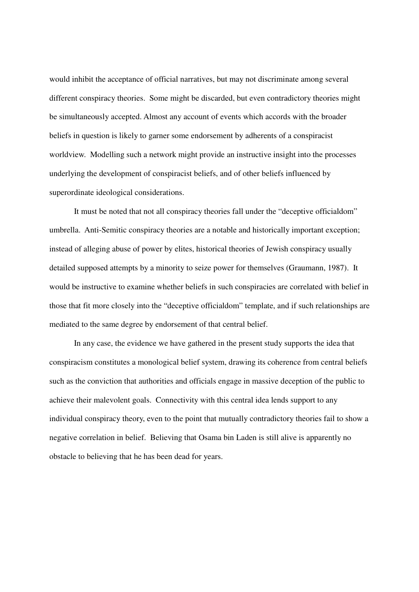would inhibit the acceptance of official narratives, but may not discriminate among several different conspiracy theories. Some might be discarded, but even contradictory theories might be simultaneously accepted. Almost any account of events which accords with the broader beliefs in question is likely to garner some endorsement by adherents of a conspiracist worldview. Modelling such a network might provide an instructive insight into the processes underlying the development of conspiracist beliefs, and of other beliefs influenced by superordinate ideological considerations.

It must be noted that not all conspiracy theories fall under the "deceptive officialdom" umbrella. Anti-Semitic conspiracy theories are a notable and historically important exception; instead of alleging abuse of power by elites, historical theories of Jewish conspiracy usually detailed supposed attempts by a minority to seize power for themselves (Graumann, 1987). It would be instructive to examine whether beliefs in such conspiracies are correlated with belief in those that fit more closely into the "deceptive officialdom" template, and if such relationships are mediated to the same degree by endorsement of that central belief.

In any case, the evidence we have gathered in the present study supports the idea that conspiracism constitutes a monological belief system, drawing its coherence from central beliefs such as the conviction that authorities and officials engage in massive deception of the public to achieve their malevolent goals. Connectivity with this central idea lends support to any individual conspiracy theory, even to the point that mutually contradictory theories fail to show a negative correlation in belief. Believing that Osama bin Laden is still alive is apparently no obstacle to believing that he has been dead for years.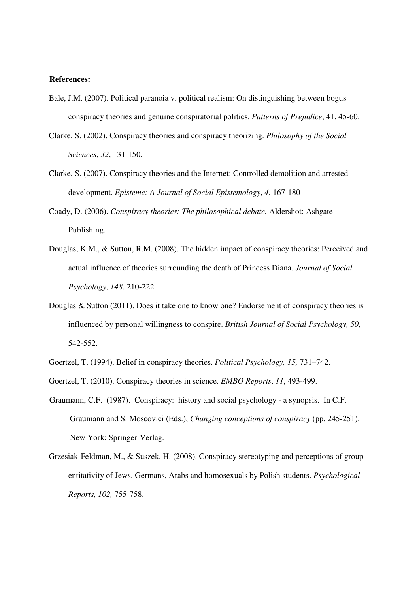## **References:**

- Bale, J.M. (2007). Political paranoia v. political realism: On distinguishing between bogus conspiracy theories and genuine conspiratorial politics. *Patterns of Prejudice*, 41, 45-60.
- Clarke, S. (2002). Conspiracy theories and conspiracy theorizing. *Philosophy of the Social Sciences*, *32*, 131-150.
- Clarke, S. (2007). Conspiracy theories and the Internet: Controlled demolition and arrested development. *Episteme: A Journal of Social Epistemology*, *4*, 167-180
- Coady, D. (2006). *Conspiracy theories: The philosophical debate.* Aldershot: Ashgate Publishing.
- Douglas, K.M., & Sutton, R.M. (2008). The hidden impact of conspiracy theories: Perceived and actual influence of theories surrounding the death of Princess Diana. *Journal of Social Psychology*, *148*, 210-222.
- Douglas & Sutton (2011). Does it take one to know one? Endorsement of conspiracy theories is influenced by personal willingness to conspire. *British Journal of Social Psychology, 50*, 542-552.
- Goertzel, T. (1994). Belief in conspiracy theories. *Political Psychology, 15,* 731–742.
- Goertzel, T. (2010). Conspiracy theories in science. *EMBO Reports*, *11*, 493-499.
- Graumann, C.F. (1987). Conspiracy: history and social psychology a synopsis. In C.F. Graumann and S. Moscovici (Eds.), *Changing conceptions of conspiracy* (pp. 245-251). New York: Springer-Verlag.
- Grzesiak-Feldman, M., & Suszek, H. (2008). Conspiracy stereotyping and perceptions of group entitativity of Jews, Germans, Arabs and homosexuals by Polish students. *Psychological Reports, 102,* 755-758.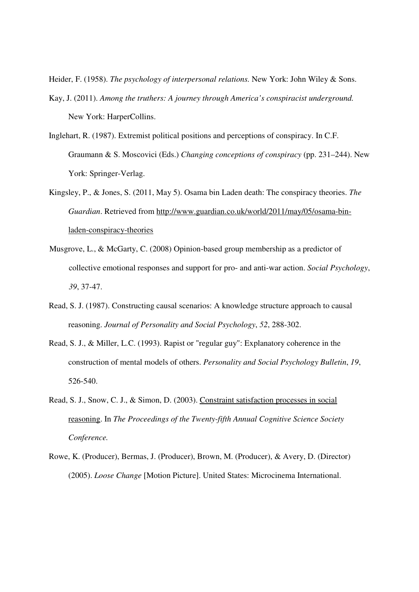Heider, F. (1958). *The psychology of interpersonal relations.* New York: John Wiley & Sons.

- Kay, J. (2011). *Among the truthers: A journey through America's conspiracist underground.*  New York: HarperCollins.
- Inglehart, R. (1987). Extremist political positions and perceptions of conspiracy. In C.F. Graumann & S. Moscovici (Eds.) *Changing conceptions of conspiracy* (pp. 231–244). New York: Springer-Verlag.
- Kingsley, P., & Jones, S. (2011, May 5). Osama bin Laden death: The conspiracy theories. *The Guardian*. Retrieved from http://www.guardian.co.uk/world/2011/may/05/osama-binladen-conspiracy-theories
- Musgrove, L., & McGarty, C. (2008) Opinion-based group membership as a predictor of collective emotional responses and support for pro- and anti-war action. *Social Psychology*, *39*, 37-47.
- Read, S. J. (1987). Constructing causal scenarios: A knowledge structure approach to causal reasoning. *Journal of Personality and Social Psychology*, *52*, 288-302.
- Read, S. J., & Miller, L.C. (1993). Rapist or "regular guy": Explanatory coherence in the construction of mental models of others. *Personality and Social Psychology Bulletin*, *19*, 526-540.
- Read, S. J., Snow, C. J., & Simon, D. (2003). Constraint satisfaction processes in social reasoning. In *The Proceedings of the Twenty-fifth Annual Cognitive Science Society Conference.*
- Rowe, K. (Producer), Bermas, J. (Producer), Brown, M. (Producer), & Avery, D. (Director) (2005). *Loose Change* [Motion Picture]. United States: Microcinema International.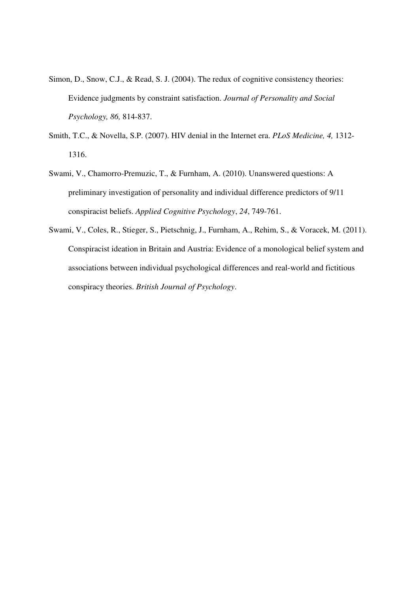- Simon, D., Snow, C.J., & Read, S. J. (2004). The redux of cognitive consistency theories: Evidence judgments by constraint satisfaction. *Journal of Personality and Social Psychology, 86,* 814-837.
- Smith, T.C., & Novella, S.P. (2007). HIV denial in the Internet era. *PLoS Medicine, 4,* 1312- 1316.
- Swami, V., Chamorro-Premuzic, T., & Furnham, A. (2010). Unanswered questions: A preliminary investigation of personality and individual difference predictors of 9/11 conspiracist beliefs. *Applied Cognitive Psychology*, *24*, 749-761.
- Swami, V., Coles, R., Stieger, S., Pietschnig, J., Furnham, A., Rehim, S., & Voracek, M. (2011). Conspiracist ideation in Britain and Austria: Evidence of a monological belief system and associations between individual psychological differences and real-world and fictitious conspiracy theories. *British Journal of Psychology*.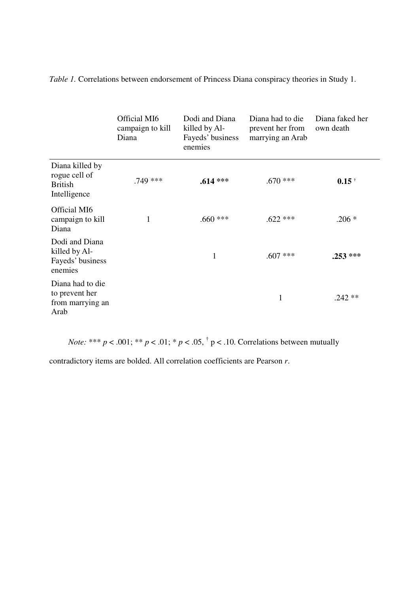*Table 1.* Correlations between endorsement of Princess Diana conspiracy theories in Study 1.

|                                                                    | Official MI6<br>campaign to kill<br>Diana | Dodi and Diana<br>killed by Al-<br>Fayeds' business<br>enemies | Diana had to die<br>prevent her from<br>marrying an Arab | Diana faked her<br>own death |
|--------------------------------------------------------------------|-------------------------------------------|----------------------------------------------------------------|----------------------------------------------------------|------------------------------|
| Diana killed by<br>rogue cell of<br><b>British</b><br>Intelligence | .749 ***                                  | $.614***$                                                      | $.670$ ***                                               | $0.15$ <sup>+</sup>          |
| Official MI6<br>campaign to kill<br>Diana                          | 1                                         | $.660$ ***                                                     | $.622$ ***                                               | $.206*$                      |
| Dodi and Diana<br>killed by Al-<br>Fayeds' business<br>enemies     |                                           | $\mathbf{1}$                                                   | $.607$ ***                                               | $.253***$                    |
| Diana had to die<br>to prevent her<br>from marrying an<br>Arab     |                                           |                                                                | 1                                                        | $.242**$                     |

*Note:* \*\*\* *p* < .001; \*\* *p* < .01; \* *p* < .05, <sup>†</sup> p < .10. Correlations between mutually

contradictory items are bolded. All correlation coefficients are Pearson *r*.